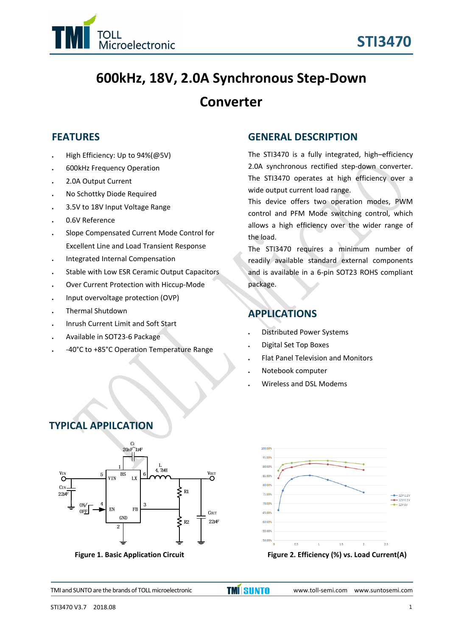

# **600kHz, 18V, 2.0A Synchronous Step‐Down**

# **Converter**

## **FEATURES**

- High Efficiency: Up to 94%(@5V)
- 600kHz Frequency Operation
- 2.0A Output Current
- No Schottky Diode Required
- 3.5V to 18V Input Voltage Range
- 0.6V Reference
- Slope Compensated Current Mode Control for Excellent Line and Load Transient Response
- Integrated Internal Compensation
- Stable with Low ESR Ceramic Output Capacitors
- Over Current Protection with Hiccup‐Mode
- Input overvoltage protection (OVP)
- Thermal Shutdown
- Inrush Current Limit and Soft Start
- Available in SOT23‐6 Package
- ‐40°C to +85°C Operation Temperature Range

### **GENERAL DESCRIPTION**

The STI3470 is a fully integrated, high–efficiency 2.0A synchronous rectified step‐down converter. The STI3470 operates at high efficiency over a wide output current load range.

This device offers two operation modes, PWM control and PFM Mode switching control, which allows a high efficiency over the wider range of the load.

The STI3470 requires a minimum number of readily available standard external components and is available in a 6‐pin SOT23 ROHS compliant package.

### **APPLICATIONS**

- Distributed Power Systems
- Digital Set Top Boxes
- Flat Panel Television and Monitors
- Notebook computer
- Wireless and DSL Modems

# **TYPICAL APPILCATION**



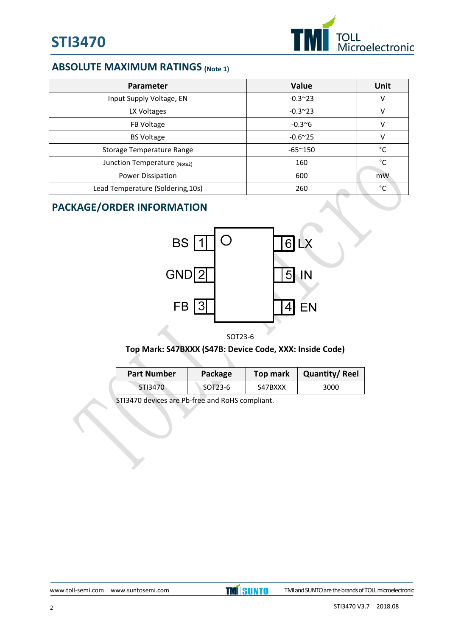

# **ABSOLUTE MAXIMUM RATINGS (Note 1)**

| Parameter                         | Value           | <b>Unit</b> |
|-----------------------------------|-----------------|-------------|
| Input Supply Voltage, EN          | $-0.3^{\sim}23$ | V           |
| LX Voltages                       | $-0.3^{\sim}23$ | V           |
| FB Voltage                        | $-0.3^{\sim}6$  | v           |
| <b>BS Voltage</b>                 | $-0.6^{\sim}25$ | V           |
| Storage Temperature Range         | $-65^{\sim}150$ | °C          |
| Junction Temperature (Note2)      | 160             | °C          |
| Power Dissipation                 | 600             | mW          |
| Lead Temperature (Soldering, 10s) | 260             | °C          |

# **PACKAGE/ORDER INFORMATION**



### **Top Mark: S47BXXX (S47B: Device Code, XXX: Inside Code)**

| <b>Part Number</b> | Package   | Top mark | <b>Quantity/Reel</b> |
|--------------------|-----------|----------|----------------------|
| STI3470            | $SOT23-6$ | S47BXXX  | 3000                 |

STI3470 devices are Pb‐free and RoHS compliant.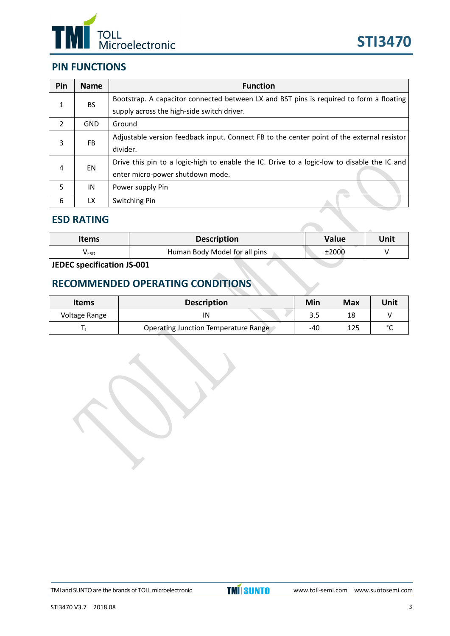

# **PIN FUNCTIONS**

| Pin | <b>Name</b> | <b>Function</b>                                                                             |
|-----|-------------|---------------------------------------------------------------------------------------------|
| 1   | <b>BS</b>   | Bootstrap. A capacitor connected between LX and BST pins is required to form a floating     |
|     |             | supply across the high-side switch driver.                                                  |
| 2   | <b>GND</b>  | Ground                                                                                      |
| 3   | <b>FB</b>   | Adjustable version feedback input. Connect FB to the center point of the external resistor  |
|     |             | divider.                                                                                    |
| 4   | EN          | Drive this pin to a logic-high to enable the IC. Drive to a logic-low to disable the IC and |
|     |             | enter micro-power shutdown mode.                                                            |
| 5   | IN          | Power supply Pin                                                                            |
| 6   | LX.         | Switching Pin                                                                               |

### **ESD RATING**

| Items | <b>Description</b>            | <b>Value</b> | Unit |
|-------|-------------------------------|--------------|------|
| V ESD | Human Body Model for all pins | ±2000        |      |

**JEDEC specification JS‐001**

# **RECOMMENDED OPERATING CONDITIONS**

| <b>Items</b>  | <b>Description</b>                   | Min | Max | Unit   |
|---------------|--------------------------------------|-----|-----|--------|
| Voltage Range | I٨                                   |     | 18  |        |
|               | Operating Junction Temperature Range | -40 | 125 | $\sim$ |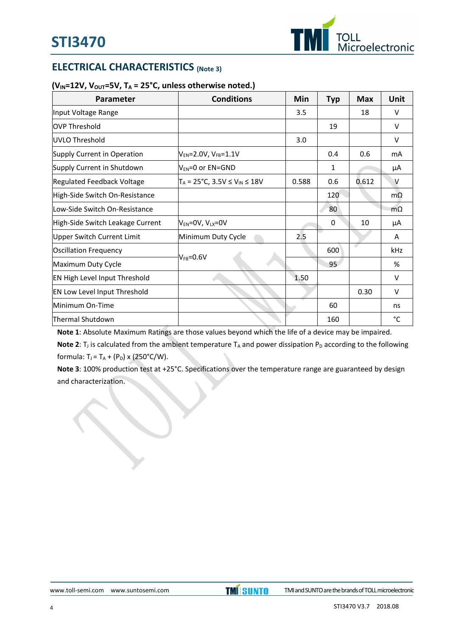

# **ELECTRICAL CHARACTERISTICS (Note 3)**

### **(VIN=12V, VOUT=5V, TA = 25°C, unless otherwise noted.)**

| <b>Parameter</b>                    | <b>Conditions</b>                                 | Min   | <b>Typ</b> | <b>Max</b> | Unit      |
|-------------------------------------|---------------------------------------------------|-------|------------|------------|-----------|
| Input Voltage Range                 |                                                   | 3.5   |            | 18         | V         |
| OVP Threshold                       |                                                   |       | 19         |            | V         |
| UVLO Threshold                      |                                                   | 3.0   |            |            | V         |
| Supply Current in Operation         | $V_{EN} = 2.0 V, V_{FB} = 1.1 V$                  |       | 0.4        | 0.6        | mA        |
| Supply Current in Shutdown          | $V_{EN}$ =0 or EN=GND                             |       | 1          |            | μA        |
| <b>Regulated Feedback Voltage</b>   | $T_A = 25^{\circ}$ C, 3.5V $\leq V_{IN} \leq 18V$ | 0.588 | 0.6        | 0.612      | V         |
| High-Side Switch On-Resistance      |                                                   |       | 120        |            | $m\Omega$ |
| Low-Side Switch On-Resistance       |                                                   |       | 80         |            | $m\Omega$ |
| High-Side Switch Leakage Current    | $V_{EN}$ =0V, V <sub>LX</sub> =0V                 |       | 0          | 10         | μA        |
| Upper Switch Current Limit          | Minimum Duty Cycle                                | 2.5   |            |            | A         |
| <b>Oscillation Frequency</b>        |                                                   |       | 600        |            | kHz       |
| Maximum Duty Cycle                  | $V_{FB} = 0.6V$                                   |       | 95         |            | %         |
| EN High Level Input Threshold       |                                                   | 1.50  |            |            | V         |
| <b>EN Low Level Input Threshold</b> |                                                   |       |            | 0.30       | V         |
| Minimum On-Time                     |                                                   |       | 60         |            | ns        |
| Thermal Shutdown                    |                                                   |       | 160        |            | °C        |

**Note 1**: Absolute Maximum Ratings are those values beyond which the life of a device may be impaired.

**Note 2**:  $T_J$  is calculated from the ambient temperature  $T_A$  and power dissipation  $P_D$  according to the following formula:  $T_J = T_A + (P_D) \times (250^{\circ}C/W)$ .

**Note 3**: 100% production test at +25°C. Specifications over the temperature range are guaranteed by design and characterization.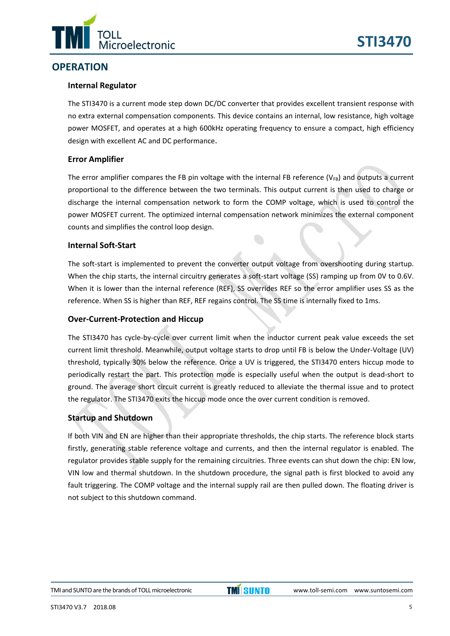

### **OPERATION**

#### **Internal Regulator**

The STI3470 is a current mode step down DC/DC converter that provides excellent transient response with no extra external compensation components. This device contains an internal, low resistance, high voltage power MOSFET, and operates at a high 600kHz operating frequency to ensure a compact, high efficiency design with excellent AC and DC performance.

#### **Error Amplifier**

The error amplifier compares the FB pin voltage with the internal FB reference ( $V_{FB}$ ) and outputs a current proportional to the difference between the two terminals. This output current is then used to charge or discharge the internal compensation network to form the COMP voltage, which is used to control the power MOSFET current. The optimized internal compensation network minimizes the external component counts and simplifies the control loop design.

#### **Internal Soft‐Start**

The soft-start is implemented to prevent the converter output voltage from overshooting during startup. When the chip starts, the internal circuitry generates a soft-start voltage (SS) ramping up from OV to 0.6V. When it is lower than the internal reference (REF), SS overrides REF so the error amplifier uses SS as the reference. When SS is higher than REF, REF regains control. The SS time is internally fixed to 1ms.

#### **Over‐Current‐Protection and Hiccup**

The STI3470 has cycle‐by‐cycle over current limit when the inductor current peak value exceeds the set current limit threshold. Meanwhile, output voltage starts to drop until FB is below the Under‐Voltage (UV) threshold, typically 30% below the reference. Once a UV is triggered, the STI3470 enters hiccup mode to periodically restart the part. This protection mode is especially useful when the output is dead‐short to ground. The average short circuit current is greatly reduced to alleviate the thermal issue and to protect the regulator. The STI3470 exits the hiccup mode once the over current condition is removed.

#### **Startup and Shutdown**

If both VIN and EN are higher than their appropriate thresholds, the chip starts. The reference block starts firstly, generating stable reference voltage and currents, and then the internal regulator is enabled. The regulator provides stable supply for the remaining circuitries. Three events can shut down the chip: EN low, VIN low and thermal shutdown. In the shutdown procedure, the signal path is first blocked to avoid any fault triggering. The COMP voltage and the internal supply rail are then pulled down. The floating driver is not subject to this shutdown command.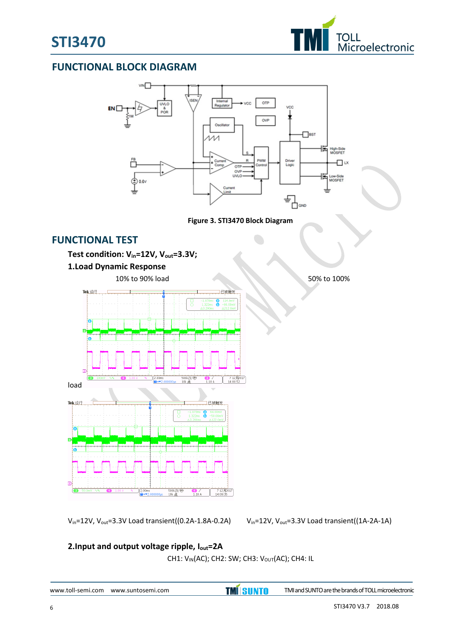



## **FUNCTIONAL BLOCK DIAGRAM**



**Figure 3. STI3470 Block Diagram**

## **FUNCTIONAL TEST**

Test condition: V<sub>in</sub>=12V, V<sub>out</sub>=3.3V;



V<sub>in</sub>=12V, V<sub>out</sub>=3.3V Load transient((0.2A-1.8A-0.2A) V<sub>in</sub>=12V, V<sub>out</sub>=3.3V Load transient((1A-2A-1A)

#### **2.Input and output voltage ripple, Iout=2A**

CH1: V<sub>IN</sub>(AC); CH2: SW; CH3: V<sub>OUT</sub>(AC); CH4: IL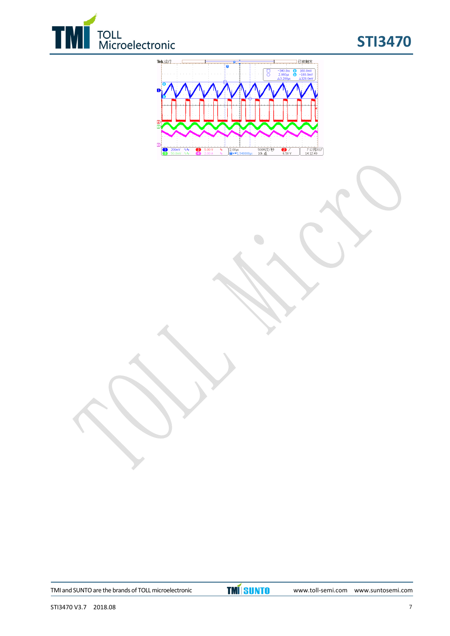

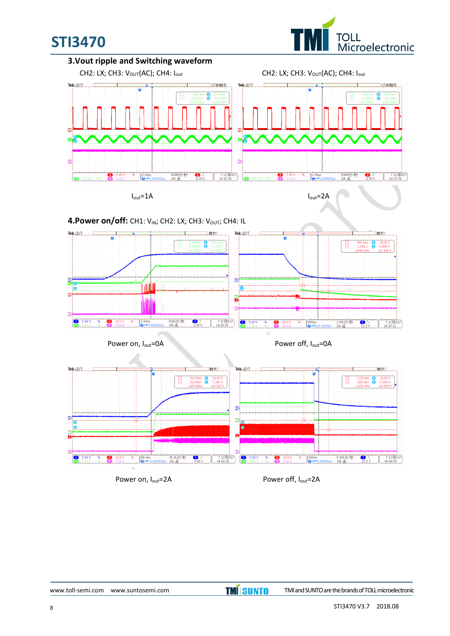





Power on, I<sub>out</sub>=2A Power off, I<sub>out</sub>=2A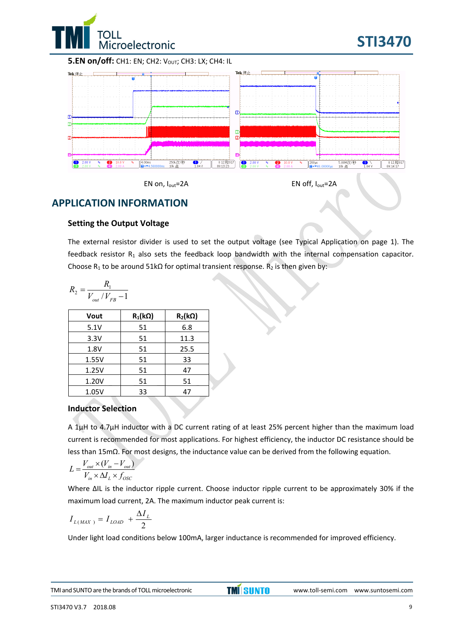

**STI3470**

**5.EN on/off:** CH1: EN; CH2: V<sub>OUT</sub>; CH3: LX; CH4: IL





### **APPLICATION INFORMATION**

### **Setting the Output Voltage**

The external resistor divider is used to set the output voltage (see Typical Application on page 1). The feedback resistor  $R_1$  also sets the feedback loop bandwidth with the internal compensation capacitor. Choose  $R_1$  to be around 51kΩ for optimal transient response.  $R_2$  is then given by:

$$
R_2 = \frac{R_1}{V_{out} / V_{FB} - 1}
$$

| Vout  | $R_1(k\Omega)$ | $R_2(k\Omega)$ |
|-------|----------------|----------------|
| 5.1V  | 51             | 6.8            |
| 3.3V  | 51             | 11.3           |
| 1.8V  | 51             | 25.5           |
| 1.55V | 51             | 33             |
| 1.25V | 51             | 47             |
| 1.20V | 51             | 51             |
| 1.05V | 33             | 47             |

#### **Inductor Selection**

A 1μH to 4.7μH inductor with a DC current rating of at least 25% percent higher than the maximum load current is recommended for most applications. For highest efficiency, the inductor DC resistance should be less than 15mΩ. For most designs, the inductance value can be derived from the following equation.

$$
L = \frac{V_{out} \times (V_{in} - V_{out})}{V_{in} \times \Delta I_L \times f_{osc}}
$$

Where ΔIL is the inductor ripple current. Choose inductor ripple current to be approximately 30% if the maximum load current, 2A. The maximum inductor peak current is:

$$
I_{L(MAX)}=I_{LOAD}~+\frac{\Delta I_L}{2}
$$

Under light load conditions below 100mA, larger inductance is recommended for improved efficiency.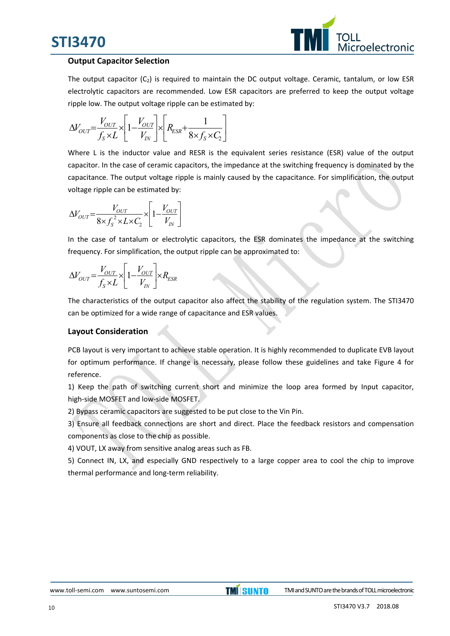



#### **Output Capacitor Selection**

The output capacitor  $(C_2)$  is required to maintain the DC output voltage. Ceramic, tantalum, or low ESR electrolytic capacitors are recommended. Low ESR capacitors are preferred to keep the output voltage ripple low. The output voltage ripple can be estimated by:

$$
\Delta V_{OUT}\!\!=\!\!\frac{V_{OUT}}{\int_S\!\times\!L}\!\times\!\!\left[1\!-\!\frac{V_{OUT}}{V_{IN}}\!\right]\!\!\times\!\!\left[R_{ESR}\!+\!\frac{1}{8\!\times\!f_S\!\times\!C_2}\right]
$$

Where L is the inductor value and RESR is the equivalent series resistance (ESR) value of the output capacitor. In the case of ceramic capacitors, the impedance at the switching frequency is dominated by the capacitance. The output voltage ripple is mainly caused by the capacitance. For simplification, the output voltage ripple can be estimated by:

$$
\Delta V_{OUT} = \frac{V_{OUT}}{8 \times f_s^2 \times L \times C_2} \times \left[1 - \frac{V_{OUT}}{V_{IN}}\right]
$$

In the case of tantalum or electrolytic capacitors, the ESR dominates the impedance at the switching frequency. For simplification, the output ripple can be approximated to:

$$
\Delta V_{OUT} = \frac{V_{OUT}}{f_S \times L} \times \left[1 - \frac{V_{OUT}}{V_{IN}}\right] \times R_{ESR}
$$

The characteristics of the output capacitor also affect the stability of the regulation system. The STI3470 can be optimized for a wide range of capacitance and ESR values.

#### **Layout Consideration**

PCB layout is very important to achieve stable operation. It is highly recommended to duplicate EVB layout for optimum performance. If change is necessary, please follow these guidelines and take Figure 4 for reference.

1) Keep the path of switching current short and minimize the loop area formed by Input capacitor, high-side MOSFET and low-side MOSFET.

2) Bypass ceramic capacitors are suggested to be put close to the Vin Pin.

3) Ensure all feedback connections are short and direct. Place the feedback resistors and compensation components as close to the chip as possible.

4) VOUT, LX away from sensitive analog areas such as FB.

5) Connect IN, LX, and especially GND respectively to a large copper area to cool the chip to improve thermal performance and long‐term reliability.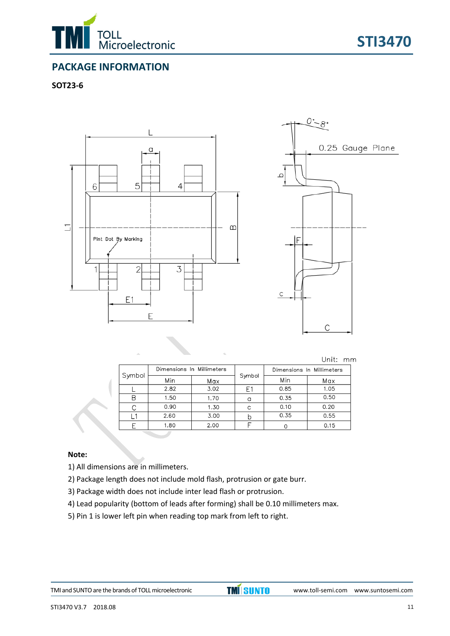

## **PACKAGE INFORMATION**

### **SOT23‐6**



| Unit: |  | mm |  |
|-------|--|----|--|
|       |  |    |  |

|        | Dimensions In Millimeters |      |        |      | Dimensions In Millimeters |
|--------|---------------------------|------|--------|------|---------------------------|
| Symbol | Min                       | Max  | Symbol | Min  | Max                       |
|        | 2.82                      | 3.02 | F1     | 0.85 | 1.05                      |
| R      | 1.50                      | 1.70 | a      | 0.35 | 0.50                      |
|        | 0.90                      | 1.30 | С      | 0.10 | 0.20                      |
|        | 2.60                      | 3.00 |        | 0.35 | 0.55                      |
|        | 1.80                      | 2.00 |        |      | 0.15                      |

#### **Note:**

- 1) All dimensions are in millimeters.
- 2) Package length does not include mold flash, protrusion or gate burr.
- 3) Package width does not include inter lead flash or protrusion.
- 4) Lead popularity (bottom of leads after forming) shall be 0.10 millimeters max.
- 5) Pin 1 is lower left pin when reading top mark from left to right.